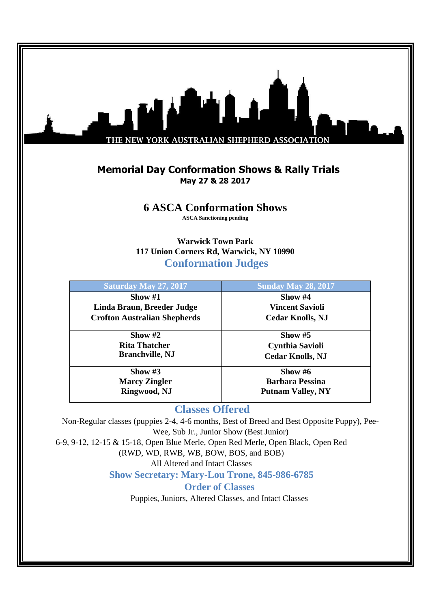